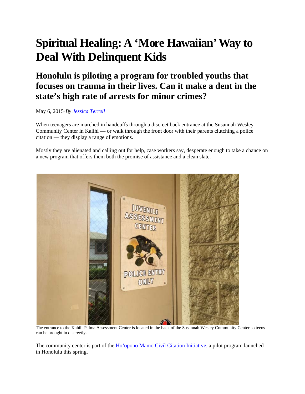# **Spiritual Healing: A 'More Hawaiian' Way to Deal With Delinquent Kids**

#### **Honolulu is piloting a program for troubled youths that focuses on trauma in their lives. Can it make a dent in the state's high rate of arrests for minor crimes?**

May 6, 2015·*By Jessica Terrell*

When teenagers are marched in handcuffs through a discreet back entrance at the Susannah Wesley Community Center in Kalihi — or walk through the front door with their parents clutching a police citation — they display a range of emotions.

Mostly they are alienated and calling out for help, case workers say, desperate enough to take a chance on a new program that offers them both the promise of assistance and a clean slate.



The entrance to the Kahili-Palma Assessment Center is located in the back of the Susannah Wesley Community Center so teens can be brought in discreetly.

The community center is part of the Ho'opono Mamo Civil Citation Initiative, a pilot program launched in Honolulu this spring.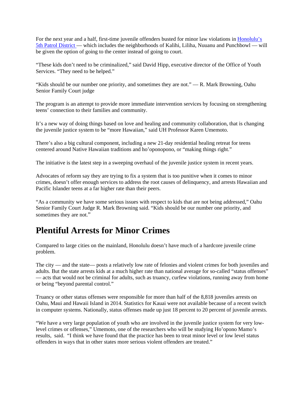For the next year and a half, first-time juvenile offenders busted for minor law violations in Honolulu's 5th Patrol District — which includes the neighborhoods of Kalihi, Liliha, Nuuanu and Punchbowl — will be given the option of going to the center instead of going to court.

"These kids don't need to be criminalized," said David Hipp, executive director of the Office of Youth Services. "They need to be helped."

"Kids should be our number one priority, and sometimes they are not." — R. Mark Browning, Oahu Senior Family Court judge

The program is an attempt to provide more immediate intervention services by focusing on strengthening teens' connection to their families and community.

It's a new way of doing things based on love and healing and community collaboration, that is changing the juvenile justice system to be "more Hawaiian," said UH Professor Karen Umemoto.

There's also a big cultural component, including a new 21-day residential healing retreat for teens centered around Native Hawaiian traditions and ho'oponopono, or "making things right."

The initiative is the latest step in a sweeping overhaul of the juvenile justice system in recent years.

Advocates of reform say they are trying to fix a system that is too punitive when it comes to minor crimes, doesn't offer enough services to address the root causes of delinquency, and arrests Hawaiian and Pacific Islander teens at a far higher rate than their peers.

"As a community we have some serious issues with respect to kids that are not being addressed," Oahu Senior Family Court Judge R. Mark Browning said. "Kids should be our number one priority, and sometimes they are not."

#### **Plentiful Arrests for Minor Crimes**

Compared to large cities on the mainland, Honolulu doesn't have much of a hardcore juvenile crime problem.

The city — and the state— posts a relatively low rate of felonies and violent crimes for both juveniles and adults. But the state arrests kids at a much higher rate than national average for so-called "status offenses" — acts that would not be criminal for adults, such as truancy, curfew violations, running away from home or being "beyond parental control."

Truancy or other status offenses were responsible for more than half of the 8,818 juveniles arrests on Oahu, Maui and Hawaii Island in 2014. Statistics for Kauai were not available because of a recent switch in computer systems. Nationally, status offenses made up just 18 percent to 20 percent of juvenile arrests.

"We have a very large population of youth who are involved in the juvenile justice system for very lowlevel crimes or offenses," Umemoto, one of the researchers who will be studying Ho'opono Mamo's results, said. "I think we have found that the practice has been to treat minor level or low level status offenders in ways that in other states more serious violent offenders are treated."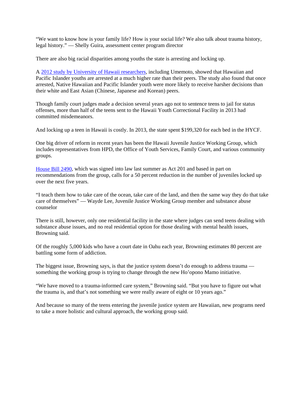"We want to know how is your family life? How is your social life? We also talk about trauma history, legal history." — Shelly Guira, assessment center program director

There are also big racial disparities among youths the state is arresting and locking up.

A 2012 study by University of Hawaii researchers, including Umemoto, showed that Hawaiian and Pacific Islander youths are arrested at a much higher rate than their peers. The study also found that once arrested, Native Hawaiian and Pacific Islander youth were more likely to receive harsher decisions than their white and East Asian (Chinese, Japanese and Korean) peers.

Though family court judges made a decision several years ago not to sentence teens to jail for status offenses, more than half of the teens sent to the Hawaii Youth Correctional Facility in 2013 had committed misdemeanors.

And locking up a teen in Hawaii is costly. In 2013, the state spent \$199,320 for each bed in the HYCF.

One big driver of reform in recent years has been the Hawaii Juvenile Justice Working Group, which includes representatives from HPD, the Office of Youth Services, Family Court, and various community groups.

House Bill 2490, which was signed into law last summer as Act 201 and based in part on recommendations from the group, calls for a 50 percent reduction in the number of juveniles locked up over the next five years.

"I teach them how to take care of the ocean, take care of the land, and then the same way they do that take care of themselves" — Wayde Lee, Juvenile Justice Working Group member and substance abuse counselor

There is still, however, only one residential facility in the state where judges can send teens dealing with substance abuse issues, and no real residential option for those dealing with mental health issues, Browning said.

Of the roughly 5,000 kids who have a court date in Oahu each year, Browning estimates 80 percent are battling some form of addiction.

The biggest issue, Browning says, is that the justice system doesn't do enough to address trauma something the working group is trying to change through the new Ho'opono Mamo initiative.

"We have moved to a trauma-informed care system," Browning said. "But you have to figure out what the trauma is, and that's not something we were really aware of eight or 10 years ago."

And because so many of the teens entering the juvenile justice system are Hawaiian, new programs need to take a more holistic and cultural approach, the working group said.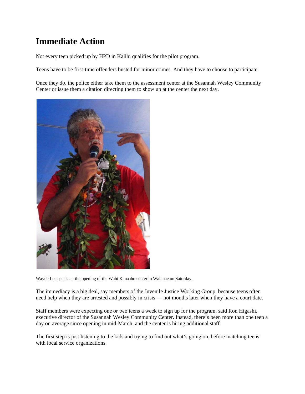### **Immediate Action**

Not every teen picked up by HPD in Kalihi qualifies for the pilot program.

Teens have to be first-time offenders busted for minor crimes. And they have to choose to participate.

Once they do, the police either take them to the assessment center at the Susannah Wesley Community Center or issue them a citation directing them to show up at the center the next day.



Wayde Lee speaks at the opening of the Wahi Kanaaho center in Waianae on Saturday.

The immediacy is a big deal, say members of the Juvenile Justice Working Group, because teens often need help when they are arrested and possibly in crisis — not months later when they have a court date.

Staff members were expecting one or two teens a week to sign up for the program, said Ron Higashi, executive director of the Susannah Wesley Community Center. Instead, there's been more than one teen a day on average since opening in mid-March, and the center is hiring additional staff.

The first step is just listening to the kids and trying to find out what's going on, before matching teens with local service organizations.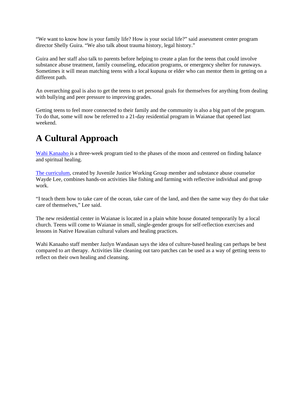"We want to know how is your family life? How is your social life?" said assessment center program director Shelly Guira. "We also talk about trauma history, legal history."

Guira and her staff also talk to parents before helping to create a plan for the teens that could involve substance abuse treatment, family counseling, education programs, or emergency shelter for runaways. Sometimes it will mean matching teens with a local kupuna or elder who can mentor them in getting on a different path.

An overarching goal is also to get the teens to set personal goals for themselves for anything from dealing with bullying and peer pressure to improving grades.

Getting teens to feel more connected to their family and the community is also a big part of the program. To do that, some will now be referred to a 21-day residential program in Waianae that opened last weekend.

## **A Cultural Approach**

Wahi Kanaaho is a three-week program tied to the phases of the moon and centered on finding balance and spiritual healing.

The curriculum, created by Juvenile Justice Working Group member and substance abuse counselor Wayde Lee, combines hands-on activities like fishing and farming with reflective individual and group work.

"I teach them how to take care of the ocean, take care of the land, and then the same way they do that take care of themselves," Lee said.

The new residential center in Waianae is located in a plain white house donated temporarily by a local church. Teens will come to Waianae in small, single-gender groups for self-reflection exercises and lessons in Native Hawaiian cultural values and healing practices.

Wahi Kanaaho staff member Jazlyn Wandasan says the idea of culture-based healing can perhaps be best compared to art therapy. Activities like cleaning out taro patches can be used as a way of getting teens to reflect on their own healing and cleansing.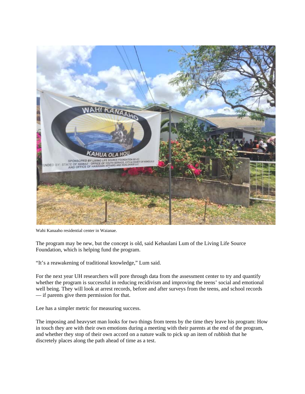

Wahi Kanaaho residential center in Waianae.

The program may be new, but the concept is old, said Kehaulani Lum of the Living Life Source Foundation, which is helping fund the program.

"It's a reawakening of traditional knowledge," Lum said.

For the next year UH researchers will pore through data from the assessment center to try and quantify whether the program is successful in reducing recidivism and improving the teens' social and emotional well being. They will look at arrest records, before and after surveys from the teens, and school records — if parents give them permission for that.

Lee has a simpler metric for measuring success.

The imposing and heavyset man looks for two things from teens by the time they leave his program: How in touch they are with their own emotions during a meeting with their parents at the end of the program, and whether they stop of their own accord on a nature walk to pick up an item of rubbish that he discretely places along the path ahead of time as a test.